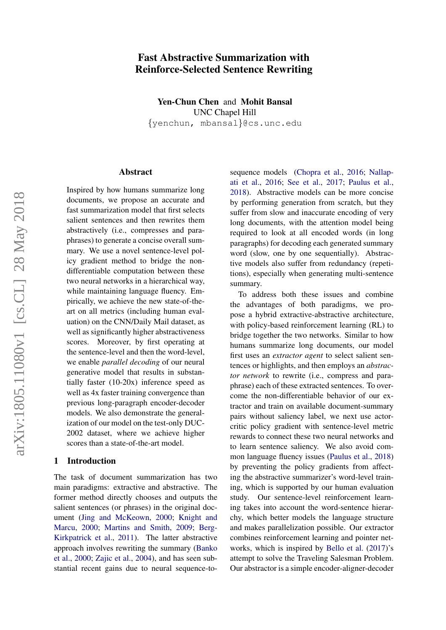# Fast Abstractive Summarization with Reinforce-Selected Sentence Rewriting

Yen-Chun Chen and Mohit Bansal UNC Chapel Hill {yenchun, mbansal}@cs.unc.edu

#### Abstract

Inspired by how humans summarize long documents, we propose an accurate and fast summarization model that first selects salient sentences and then rewrites them abstractively (i.e., compresses and paraphrases) to generate a concise overall summary. We use a novel sentence-level policy gradient method to bridge the nondifferentiable computation between these two neural networks in a hierarchical way, while maintaining language fluency. Empirically, we achieve the new state-of-theart on all metrics (including human evaluation) on the CNN/Daily Mail dataset, as well as significantly higher abstractiveness scores. Moreover, by first operating at the sentence-level and then the word-level, we enable *parallel decoding* of our neural generative model that results in substantially faster (10-20x) inference speed as well as 4x faster training convergence than previous long-paragraph encoder-decoder models. We also demonstrate the generalization of our model on the test-only DUC-2002 dataset, where we achieve higher scores than a state-of-the-art model.

### 1 Introduction

The task of document summarization has two main paradigms: extractive and abstractive. The former method directly chooses and outputs the salient sentences (or phrases) in the original document [\(Jing and McKeown,](#page-10-0) [2000;](#page-10-0) [Knight and](#page-10-1) [Marcu,](#page-10-1) [2000;](#page-10-1) [Martins and Smith,](#page-10-2) [2009;](#page-10-2) [Berg-](#page-9-0)[Kirkpatrick et al.,](#page-9-0) [2011\)](#page-9-0). The latter abstractive approach involves rewriting the summary [\(Banko](#page-9-1) [et al.,](#page-9-1) [2000;](#page-9-1) [Zajic et al.,](#page-11-0) [2004\)](#page-11-0), and has seen substantial recent gains due to neural sequence-tosequence models [\(Chopra et al.,](#page-9-2) [2016;](#page-9-2) [Nallap](#page-10-3)[ati et al.,](#page-10-3) [2016;](#page-10-3) [See et al.,](#page-11-1) [2017;](#page-11-1) [Paulus et al.,](#page-11-2) [2018\)](#page-11-2). Abstractive models can be more concise by performing generation from scratch, but they suffer from slow and inaccurate encoding of very long documents, with the attention model being required to look at all encoded words (in long paragraphs) for decoding each generated summary word (slow, one by one sequentially). Abstractive models also suffer from redundancy (repetitions), especially when generating multi-sentence summary.

To address both these issues and combine the advantages of both paradigms, we propose a hybrid extractive-abstractive architecture, with policy-based reinforcement learning (RL) to bridge together the two networks. Similar to how humans summarize long documents, our model first uses an *extractor agent* to select salient sentences or highlights, and then employs an *abstractor network* to rewrite (i.e., compress and paraphrase) each of these extracted sentences. To overcome the non-differentiable behavior of our extractor and train on available document-summary pairs without saliency label, we next use actorcritic policy gradient with sentence-level metric rewards to connect these two neural networks and to learn sentence saliency. We also avoid common language fluency issues [\(Paulus et al.,](#page-11-2) [2018\)](#page-11-2) by preventing the policy gradients from affecting the abstractive summarizer's word-level training, which is supported by our human evaluation study. Our sentence-level reinforcement learning takes into account the word-sentence hierarchy, which better models the language structure and makes parallelization possible. Our extractor combines reinforcement learning and pointer networks, which is inspired by [Bello et al.](#page-9-3) [\(2017\)](#page-9-3)'s attempt to solve the Traveling Salesman Problem. Our abstractor is a simple encoder-aligner-decoder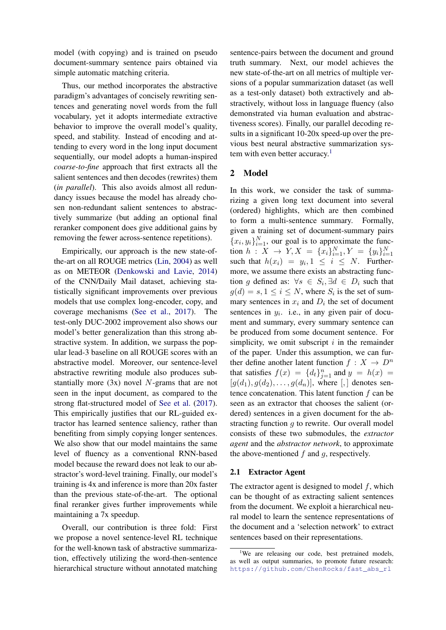model (with copying) and is trained on pseudo document-summary sentence pairs obtained via simple automatic matching criteria.

Thus, our method incorporates the abstractive paradigm's advantages of concisely rewriting sentences and generating novel words from the full vocabulary, yet it adopts intermediate extractive behavior to improve the overall model's quality, speed, and stability. Instead of encoding and attending to every word in the long input document sequentially, our model adopts a human-inspired *coarse-to-fine* approach that first extracts all the salient sentences and then decodes (rewrites) them (*in parallel*). This also avoids almost all redundancy issues because the model has already chosen non-redundant salient sentences to abstractively summarize (but adding an optional final reranker component does give additional gains by removing the fewer across-sentence repetitions).

Empirically, our approach is the new state-ofthe-art on all ROUGE metrics [\(Lin,](#page-10-4) [2004\)](#page-10-4) as well as on METEOR [\(Denkowski and Lavie,](#page-9-4) [2014\)](#page-9-4) of the CNN/Daily Mail dataset, achieving statistically significant improvements over previous models that use complex long-encoder, copy, and coverage mechanisms [\(See et al.,](#page-11-1) [2017\)](#page-11-1). The test-only DUC-2002 improvement also shows our model's better generalization than this strong abstractive system. In addition, we surpass the popular lead-3 baseline on all ROUGE scores with an abstractive model. Moreover, our sentence-level abstractive rewriting module also produces substantially more (3x) novel N-grams that are not seen in the input document, as compared to the strong flat-structured model of [See et al.](#page-11-1) [\(2017\)](#page-11-1). This empirically justifies that our RL-guided extractor has learned sentence saliency, rather than benefiting from simply copying longer sentences. We also show that our model maintains the same level of fluency as a conventional RNN-based model because the reward does not leak to our abstractor's word-level training. Finally, our model's training is 4x and inference is more than 20x faster than the previous state-of-the-art. The optional final reranker gives further improvements while maintaining a 7x speedup.

Overall, our contribution is three fold: First we propose a novel sentence-level RL technique for the well-known task of abstractive summarization, effectively utilizing the word-then-sentence hierarchical structure without annotated matching sentence-pairs between the document and ground truth summary. Next, our model achieves the new state-of-the-art on all metrics of multiple versions of a popular summarization dataset (as well as a test-only dataset) both extractively and abstractively, without loss in language fluency (also demonstrated via human evaluation and abstractiveness scores). Finally, our parallel decoding results in a significant 10-20x speed-up over the previous best neural abstractive summarization sys-tem with even better accuracy.<sup>[1](#page-1-0)</sup>

# 2 Model

In this work, we consider the task of summarizing a given long text document into several (ordered) highlights, which are then combined to form a multi-sentence summary. Formally, given a training set of document-summary pairs  ${x_i, y_i}_{i=1}^N$ , our goal is to approximate the function  $h: X \to Y, X = \{x_i\}_{i=1}^N, Y = \{y_i\}_{i=1}^N$ such that  $h(x_i) = y_i, 1 \leq i \leq N$ . Furthermore, we assume there exists an abstracting function g defined as:  $\forall s \in S_i, \exists d \in D_i$  such that  $g(d) = s, 1 \le i \le N$ , where  $S_i$  is the set of summary sentences in  $x_i$  and  $D_i$  the set of document sentences in  $y_i$ . i.e., in any given pair of document and summary, every summary sentence can be produced from some document sentence. For simplicity, we omit subscript  $i$  in the remainder of the paper. Under this assumption, we can further define another latent function  $f : X \to D^n$ that satisfies  $f(x) = \{d_t\}_{t=1}^n$  and  $y = h(x) =$  $[g(d_1), g(d_2), \ldots, g(d_n)]$ , where  $\lbrack, \rbrack$  denotes sentence concatenation. This latent function  $f$  can be seen as an extractor that chooses the salient (ordered) sentences in a given document for the abstracting function  $q$  to rewrite. Our overall model consists of these two submodules, the *extractor agent* and the *abstractor network*, to approximate the above-mentioned  $f$  and  $g$ , respectively.

#### 2.1 Extractor Agent

The extractor agent is designed to model  $f$ , which can be thought of as extracting salient sentences from the document. We exploit a hierarchical neural model to learn the sentence representations of the document and a 'selection network' to extract sentences based on their representations.

<span id="page-1-0"></span><sup>&</sup>lt;sup>1</sup>We are releasing our code, best pretrained models, as well as output summaries, to promote future research: [https://github.com/ChenRocks/fast\\_abs\\_rl](https://github.com/ChenRocks/fast_abs_rl)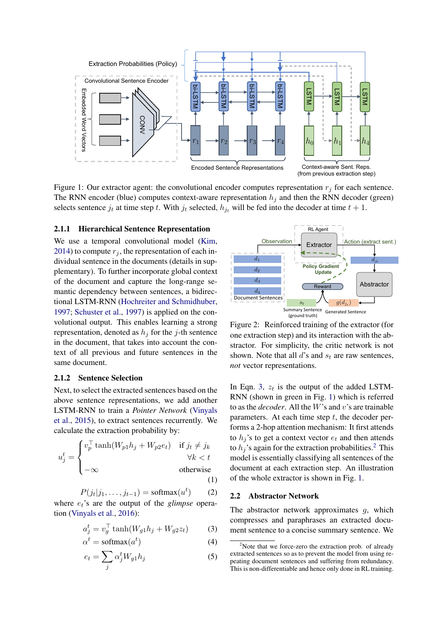

<span id="page-2-1"></span>Figure 1: Our extractor agent: the convolutional encoder computes representation  $r_j$  for each sentence. The RNN encoder (blue) computes context-aware representation  $h_j$  and then the RNN decoder (green) selects sentence  $j_t$  at time step t. With  $j_t$  selected,  $h_{j_t}$  will be fed into the decoder at time  $t + 1$ .

### <span id="page-2-6"></span>2.1.1 Hierarchical Sentence Representation

We use a temporal convolutional model [\(Kim,](#page-10-5) [2014\)](#page-10-5) to compute  $r_i$ , the representation of each individual sentence in the documents (details in supplementary). To further incorporate global context of the document and capture the long-range semantic dependency between sentences, a bidirectional LSTM-RNN [\(Hochreiter and Schmidhuber,](#page-10-6) [1997;](#page-10-6) [Schuster et al.,](#page-11-3) [1997\)](#page-11-3) is applied on the convolutional output. This enables learning a strong representation, denoted as  $h_j$  for the j-th sentence in the document, that takes into account the context of all previous and future sentences in the same document.

### <span id="page-2-3"></span>2.1.2 Sentence Selection

Next, to select the extracted sentences based on the above sentence representations, we add another LSTM-RNN to train a *Pointer Network* [\(Vinyals](#page-11-4) [et al.,](#page-11-4) [2015\)](#page-11-4), to extract sentences recurrently. We calculate the extraction probability by:

$$
u_j^t = \begin{cases} v_p^\top \tanh(W_{p1}h_j + W_{p2}e_t) & \text{if } j_t \neq j_k \\ \forall k < t \\ -\infty & \text{otherwise} \end{cases}
$$
\n(1)

 $P(j_t|j_1,\ldots,j_{t-1}) = \text{softmax}(u^t)$ ) (2)

<span id="page-2-4"></span>where  $e_t$ 's are the output of the *glimpse* operation [\(Vinyals et al.,](#page-11-5) [2016\)](#page-11-5):

$$
a_j^t = v_g^\top \tanh(W_{g1}h_j + W_{g2}z_t) \tag{3}
$$

$$
\alpha^t = \text{softmax}(a^t) \tag{4}
$$

$$
e_t = \sum_j \alpha_j^t W_{g1} h_j \tag{5}
$$



<span id="page-2-5"></span>Figure 2: Reinforced training of the extractor (for one extraction step) and its interaction with the abstractor. For simplicity, the critic network is not shown. Note that all  $d$ 's and  $s_t$  are raw sentences, *not* vector representations.

In Eqn. [3,](#page-2-0)  $z_t$  is the output of the added LSTM-RNN (shown in green in Fig. [1\)](#page-2-1) which is referred to as the *decoder*. All the W's and v's are trainable parameters. At each time step  $t$ , the decoder performs a 2-hop attention mechanism: It first attends to  $h_i$ 's to get a context vector  $e_t$  and then attends to  $h_i$ 's again for the extraction probabilities.<sup>[2](#page-2-2)</sup> This model is essentially classifying all sentences of the document at each extraction step. An illustration of the whole extractor is shown in Fig. [1.](#page-2-1)

#### <span id="page-2-7"></span>2.2 Abstractor Network

<span id="page-2-0"></span>The abstractor network approximates  $g$ , which compresses and paraphrases an extracted document sentence to a concise summary sentence. We

<span id="page-2-2"></span> $2^2$ Note that we force-zero the extraction prob. of already extracted sentences so as to prevent the model from using repeating document sentences and suffering from redundancy. This is non-differentiable and hence only done in RL training.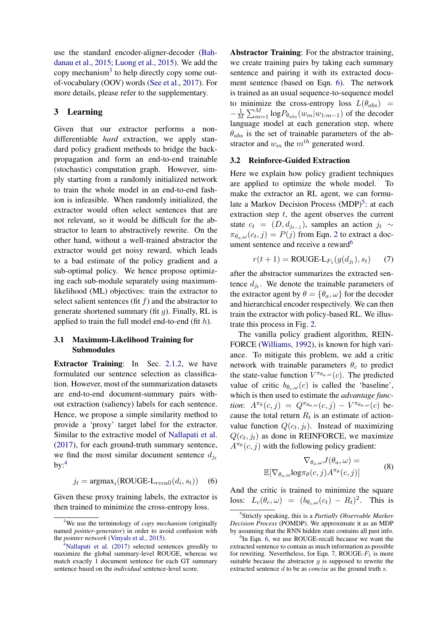use the standard encoder-aligner-decoder [\(Bah](#page-9-5)[danau et al.,](#page-9-5) [2015;](#page-9-5) [Luong et al.,](#page-10-7) [2015\)](#page-10-7). We add the copy mechanism<sup>[3](#page-3-0)</sup> to help directly copy some outof-vocabulary (OOV) words [\(See et al.,](#page-11-1) [2017\)](#page-11-1). For more details, please refer to the supplementary.

# 3 Learning

Given that our extractor performs a nondifferentiable *hard* extraction, we apply standard policy gradient methods to bridge the backpropagation and form an end-to-end trainable (stochastic) computation graph. However, simply starting from a randomly initialized network to train the whole model in an end-to-end fashion is infeasible. When randomly initialized, the extractor would often select sentences that are not relevant, so it would be difficult for the abstractor to learn to abstractively rewrite. On the other hand, without a well-trained abstractor the extractor would get noisy reward, which leads to a bad estimate of the policy gradient and a sub-optimal policy. We hence propose optimizing each sub-module separately using maximumlikelihood (ML) objectives: train the extractor to select salient sentences (fit  $f$ ) and the abstractor to generate shortened summary (fit  $q$ ). Finally, RL is applied to train the full model end-to-end (fit  $h$ ).

# 3.1 Maximum-Likelihood Training for Submodules

Extractor Training: In Sec. [2.1.2,](#page-2-3) we have formulated our sentence selection as classification. However, most of the summarization datasets are end-to-end document-summary pairs without extraction (saliency) labels for each sentence. Hence, we propose a simple similarity method to provide a 'proxy' target label for the extractor. Similar to the extractive model of [Nallapati et al.](#page-10-8) [\(2017\)](#page-10-8), for each ground-truth summary sentence, we find the most similar document sentence  $d_{j_t}$  $bv:$ <sup>[4](#page-3-1)</sup>

<span id="page-3-2"></span>
$$
j_t = \text{argmax}_i(\text{ROUGE-L}_{recall}(d_i, s_t)) \quad (6)
$$

Given these proxy training labels, the extractor is then trained to minimize the cross-entropy loss.

Abstractor Training: For the abstractor training, we create training pairs by taking each summary sentence and pairing it with its extracted document sentence (based on Eqn. [6\)](#page-3-2). The network is trained as an usual sequence-to-sequence model to minimize the cross-entropy loss  $L(\theta_{abs})$  =  $-\frac{1}{\sqrt{2}}$  $\frac{1}{M}\sum_{m=1}^{M} \log P_{\theta_{abs}}(w_m|w_{1:m-1})$  of the decoder language model at each generation step, where  $\theta_{abs}$  is the set of trainable parameters of the abstractor and  $w_m$  the  $m^{th}$  generated word.

### <span id="page-3-6"></span>3.2 Reinforce-Guided Extraction

Here we explain how policy gradient techniques are applied to optimize the whole model. To make the extractor an RL agent, we can formu-late a Markov Decision Process (MDP)<sup>[5](#page-3-3)</sup>: at each extraction step  $t$ , the agent observes the current state  $c_t = (D, d_{j_{t-1}})$ , samples an action  $j_t \sim$  $\pi_{\theta_a,\omega}(c_t,j) = P(j)$  from Eqn. [2](#page-2-4) to extract a doc-ument sentence and receive a reward<sup>[6](#page-3-4)</sup>

<span id="page-3-5"></span>
$$
r(t+1) = \text{ROUGE-L}_{F_1}(g(d_{j_t}), s_t) \tag{7}
$$

after the abstractor summarizes the extracted sentence  $d_{j_t}$ . We denote the trainable parameters of the extractor agent by  $\theta = {\theta_a, \omega}$  for the decoder and hierarchical encoder respectively. We can then train the extractor with policy-based RL. We illustrate this process in Fig. [2.](#page-2-5)

The vanilla policy gradient algorithm, REIN-FORCE [\(Williams,](#page-11-6) [1992\)](#page-11-6), is known for high variance. To mitigate this problem, we add a critic network with trainable parameters  $\theta_c$  to predict the state-value function  $V^{\pi_{\theta_a,\omega}}(c)$ . The predicted value of critic  $b_{\theta_c,\omega}(c)$  is called the 'baseline', which is then used to estimate the *advantage function*:  $A^{\pi_{\theta}}(c, j) = Q^{\pi_{\theta_a, \omega}}(c, j) - V^{\pi_{\theta_a, \omega}}(c)$  because the total return  $R_t$  is an estimate of actionvalue function  $Q(c_t, j_t)$ . Instead of maximizing  $Q(c_t, j_t)$  as done in REINFORCE, we maximize  $A^{\pi_{\theta}}(c, j)$  with the following policy gradient:

$$
\nabla_{\theta_a,\omega} J(\theta_a,\omega) =
$$
  

$$
\mathbb{E}[\nabla_{\theta_a,\omega} \log \pi_{\theta}(c,j) A^{\pi_{\theta}}(c,j)]
$$
 (8)

And the critic is trained to minimize the square loss:  $L_c(\theta_c, \omega) = (b_{\theta_c, \omega}(c_t) - R_t)^2$ . This is

<span id="page-3-0"></span><sup>3</sup>We use the terminology of *copy mechanism* (originally named *pointer-generator*) in order to avoid confusion with the *pointer network* [\(Vinyals et al.,](#page-11-4) [2015\)](#page-11-4).

<span id="page-3-1"></span> $4$ [Nallapati et al.](#page-10-8) [\(2017\)](#page-10-8) selected sentences greedily to maximize the global summary-level ROUGE, whereas we match exactly 1 document sentence for each GT summary sentence based on the *individual* sentence-level score.

<span id="page-3-3"></span><sup>5</sup> Strictly speaking, this is a *Partially Observable Markov Decision Process* (POMDP). We approximate it as an MDP by assuming that the RNN hidden state contains all past info.

<span id="page-3-4"></span><sup>&</sup>lt;sup>6</sup>In Eqn. [6,](#page-3-2) we use ROUGE-recall because we want the extracted sentence to contain as much information as possible for rewriting. Nevertheless, for Eqn. [7,](#page-3-5) ROUGE- $F_1$  is more suitable because the abstractor  $q$  is supposed to rewrite the extracted sentence d to be as *concise* as the ground truth s.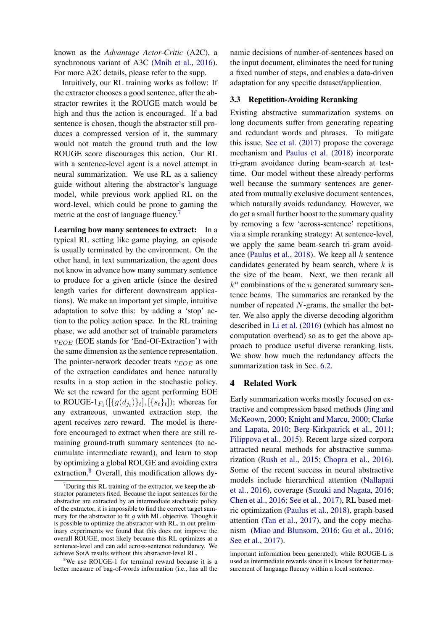known as the *Advantage Actor-Critic* (A2C), a synchronous variant of A3C [\(Mnih et al.,](#page-10-9) [2016\)](#page-10-9). For more A2C details, please refer to the supp.

Intuitively, our RL training works as follow: If the extractor chooses a good sentence, after the abstractor rewrites it the ROUGE match would be high and thus the action is encouraged. If a bad sentence is chosen, though the abstractor still produces a compressed version of it, the summary would not match the ground truth and the low ROUGE score discourages this action. Our RL with a sentence-level agent is a novel attempt in neural summarization. We use RL as a saliency guide without altering the abstractor's language model, while previous work applied RL on the word-level, which could be prone to gaming the metric at the cost of language fluency.<sup>[7](#page-4-0)</sup>

<span id="page-4-2"></span>Learning how many sentences to extract: In a typical RL setting like game playing, an episode is usually terminated by the environment. On the other hand, in text summarization, the agent does not know in advance how many summary sentence to produce for a given article (since the desired length varies for different downstream applications). We make an important yet simple, intuitive adaptation to solve this: by adding a 'stop' action to the policy action space. In the RL training phase, we add another set of trainable parameters  $v_{EOE}$  (EOE stands for 'End-Of-Extraction') with the same dimension as the sentence representation. The pointer-network decoder treats  $v_{EOE}$  as one of the extraction candidates and hence naturally results in a stop action in the stochastic policy. We set the reward for the agent performing EOE to ROUGE- $1_{F_1}([{g(d_{j_t})}_t]$ ,  $[{s_t}_t]$ ); whereas for any extraneous, unwanted extraction step, the agent receives zero reward. The model is therefore encouraged to extract when there are still remaining ground-truth summary sentences (to accumulate intermediate reward), and learn to stop by optimizing a global ROUGE and avoiding extra extraction.<sup>[8](#page-4-1)</sup> Overall, this modification allows dy-

namic decisions of number-of-sentences based on the input document, eliminates the need for tuning a fixed number of steps, and enables a data-driven adaptation for any specific dataset/application.

### <span id="page-4-3"></span>3.3 Repetition-Avoiding Reranking

Existing abstractive summarization systems on long documents suffer from generating repeating and redundant words and phrases. To mitigate this issue, [See et al.](#page-11-1) [\(2017\)](#page-11-1) propose the coverage mechanism and [Paulus et al.](#page-11-2) [\(2018\)](#page-11-2) incorporate tri-gram avoidance during beam-search at testtime. Our model without these already performs well because the summary sentences are generated from mutually exclusive document sentences, which naturally avoids redundancy. However, we do get a small further boost to the summary quality by removing a few 'across-sentence' repetitions, via a simple reranking strategy: At sentence-level, we apply the same beam-search tri-gram avoid-ance [\(Paulus et al.,](#page-11-2) [2018\)](#page-11-2). We keep all  $k$  sentence candidates generated by beam search, where  $k$  is the size of the beam. Next, we then rerank all  $k<sup>n</sup>$  combinations of the *n* generated summary sentence beams. The summaries are reranked by the number of repeated N-grams, the smaller the better. We also apply the diverse decoding algorithm described in [Li et al.](#page-10-10) [\(2016\)](#page-10-10) (which has almost no computation overhead) so as to get the above approach to produce useful diverse reranking lists. We show how much the redundancy affects the summarization task in Sec. [6.2.](#page-7-0)

### 4 Related Work

Early summarization works mostly focused on extractive and compression based methods [\(Jing and](#page-10-0) [McKeown,](#page-10-0) [2000;](#page-10-0) [Knight and Marcu,](#page-10-1) [2000;](#page-10-1) [Clarke](#page-9-6) [and Lapata,](#page-9-6) [2010;](#page-9-6) [Berg-Kirkpatrick et al.,](#page-9-0) [2011;](#page-9-0) [Filippova et al.,](#page-9-7) [2015\)](#page-9-7). Recent large-sized corpora attracted neural methods for abstractive summarization [\(Rush et al.,](#page-11-7) [2015;](#page-11-7) [Chopra et al.,](#page-9-2) [2016\)](#page-9-2). Some of the recent success in neural abstractive models include hierarchical attention [\(Nallapati](#page-10-3) [et al.,](#page-10-3) [2016\)](#page-10-3), coverage [\(Suzuki and Nagata,](#page-11-8) [2016;](#page-11-8) [Chen et al.,](#page-9-8) [2016;](#page-9-8) [See et al.,](#page-11-1) [2017\)](#page-11-1), RL based metric optimization [\(Paulus et al.,](#page-11-2) [2018\)](#page-11-2), graph-based attention [\(Tan et al.,](#page-11-9) [2017\)](#page-11-9), and the copy mechanism [\(Miao and Blunsom,](#page-10-11) [2016;](#page-10-11) [Gu et al.,](#page-9-9) [2016;](#page-9-9) [See et al.,](#page-11-1) [2017\)](#page-11-1).

<span id="page-4-0"></span> $7$ During this RL training of the extractor, we keep the abstractor parameters fixed. Because the input sentences for the abstractor are extracted by an intermediate stochastic policy of the extractor, it is impossible to find the correct target summary for the abstractor to fit  $g$  with ML objective. Though it is possible to optimize the abstractor with RL, in out preliminary experiments we found that this does not improve the overall ROUGE, most likely because this RL optimizes at a sentence-level and can add across-sentence redundancy. We achieve SotA results without this abstractor-level RL.

<span id="page-4-1"></span><sup>&</sup>lt;sup>8</sup>We use ROUGE-1 for terminal reward because it is a better measure of bag-of-words information (i.e., has all the

important information been generated); while ROUGE-L is used as intermediate rewards since it is known for better measurement of language fluency within a local sentence.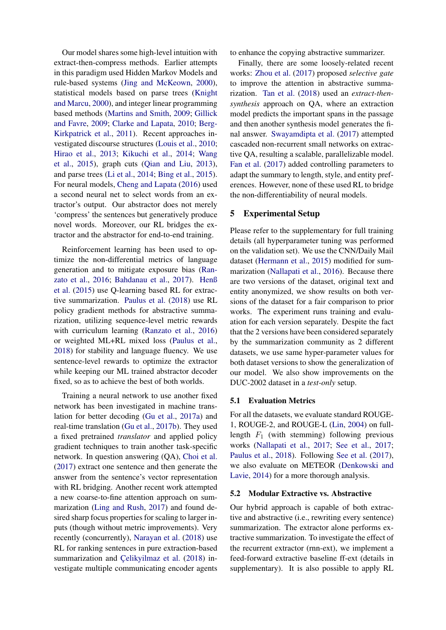Our model shares some high-level intuition with extract-then-compress methods. Earlier attempts in this paradigm used Hidden Markov Models and rule-based systems [\(Jing and McKeown,](#page-10-0) [2000\)](#page-10-0), statistical models based on parse trees [\(Knight](#page-10-1) [and Marcu,](#page-10-1) [2000\)](#page-10-1), and integer linear programming based methods [\(Martins and Smith,](#page-10-2) [2009;](#page-10-2) [Gillick](#page-9-10) [and Favre,](#page-9-10) [2009;](#page-9-10) [Clarke and Lapata,](#page-9-6) [2010;](#page-9-6) [Berg-](#page-9-0)[Kirkpatrick et al.,](#page-9-0) [2011\)](#page-9-0). Recent approaches investigated discourse structures [\(Louis et al.,](#page-10-12) [2010;](#page-10-12) [Hirao et al.,](#page-9-11) [2013;](#page-9-11) [Kikuchi et al.,](#page-10-13) [2014;](#page-10-13) [Wang](#page-11-10) [et al.,](#page-11-10) [2015\)](#page-11-10), graph cuts [\(Qian and Liu,](#page-11-11) [2013\)](#page-11-11), and parse trees [\(Li et al.,](#page-10-14) [2014;](#page-10-14) [Bing et al.,](#page-9-12) [2015\)](#page-9-12). For neural models, [Cheng and Lapata](#page-9-13) [\(2016\)](#page-9-13) used a second neural net to select words from an extractor's output. Our abstractor does not merely 'compress' the sentences but generatively produce novel words. Moreover, our RL bridges the extractor and the abstractor for end-to-end training.

Reinforcement learning has been used to optimize the non-differential metrics of language generation and to mitigate exposure bias [\(Ran](#page-11-12)[zato et al.,](#page-11-12) [2016;](#page-11-12) [Bahdanau et al.,](#page-9-14) [2017\)](#page-9-14). [Henß](#page-9-15) [et al.](#page-9-15) [\(2015\)](#page-9-15) use Q-learning based RL for extractive summarization. [Paulus et al.](#page-11-2) [\(2018\)](#page-11-2) use RL policy gradient methods for abstractive summarization, utilizing sequence-level metric rewards with curriculum learning [\(Ranzato et al.,](#page-11-12) [2016\)](#page-11-12) or weighted ML+RL mixed loss [\(Paulus et al.,](#page-11-2) [2018\)](#page-11-2) for stability and language fluency. We use sentence-level rewards to optimize the extractor while keeping our ML trained abstractor decoder fixed, so as to achieve the best of both worlds.

Training a neural network to use another fixed network has been investigated in machine translation for better decoding [\(Gu et al.,](#page-9-16) [2017a\)](#page-9-16) and real-time translation [\(Gu et al.,](#page-9-17) [2017b\)](#page-9-17). They used a fixed pretrained *translator* and applied policy gradient techniques to train another task-specific network. In question answering (QA), [Choi et al.](#page-9-18) [\(2017\)](#page-9-18) extract one sentence and then generate the answer from the sentence's vector representation with RL bridging. Another recent work attempted a new coarse-to-fine attention approach on summarization [\(Ling and Rush,](#page-10-15) [2017\)](#page-10-15) and found desired sharp focus properties for scaling to larger inputs (though without metric improvements). Very recently (concurrently), [Narayan et al.](#page-10-16) [\(2018\)](#page-10-16) use RL for ranking sentences in pure extraction-based summarization and Celikyilmaz et al. [\(2018\)](#page-9-19) investigate multiple communicating encoder agents to enhance the copying abstractive summarizer.

Finally, there are some loosely-related recent works: [Zhou et al.](#page-11-13) [\(2017\)](#page-11-13) proposed *selective gate* to improve the attention in abstractive summarization. [Tan et al.](#page-11-14) [\(2018\)](#page-11-14) used an *extract-thensynthesis* approach on QA, where an extraction model predicts the important spans in the passage and then another synthesis model generates the final answer. [Swayamdipta et al.](#page-11-15) [\(2017\)](#page-11-15) attempted cascaded non-recurrent small networks on extractive QA, resulting a scalable, parallelizable model. [Fan et al.](#page-9-20) [\(2017\)](#page-9-20) added controlling parameters to adapt the summary to length, style, and entity preferences. However, none of these used RL to bridge the non-differentiability of neural models.

### 5 Experimental Setup

Please refer to the supplementary for full training details (all hyperparameter tuning was performed on the validation set). We use the CNN/Daily Mail dataset [\(Hermann et al.,](#page-9-21) [2015\)](#page-9-21) modified for summarization [\(Nallapati et al.,](#page-10-3) [2016\)](#page-10-3). Because there are two versions of the dataset, original text and entity anonymized, we show results on both versions of the dataset for a fair comparison to prior works. The experiment runs training and evaluation for each version separately. Despite the fact that the 2 versions have been considered separately by the summarization community as 2 different datasets, we use same hyper-parameter values for both dataset versions to show the generalization of our model. We also show improvements on the DUC-2002 dataset in a *test-only* setup.

#### 5.1 Evaluation Metrics

For all the datasets, we evaluate standard ROUGE-1, ROUGE-2, and ROUGE-L [\(Lin,](#page-10-4) [2004\)](#page-10-4) on fulllength  $F_1$  (with stemming) following previous works [\(Nallapati et al.,](#page-10-8) [2017;](#page-10-8) [See et al.,](#page-11-1) [2017;](#page-11-1) [Paulus et al.,](#page-11-2) [2018\)](#page-11-2). Following [See et al.](#page-11-1) [\(2017\)](#page-11-1), we also evaluate on METEOR [\(Denkowski and](#page-9-4) [Lavie,](#page-9-4) [2014\)](#page-9-4) for a more thorough analysis.

#### 5.2 Modular Extractive vs. Abstractive

Our hybrid approach is capable of both extractive and abstractive (i.e., rewriting every sentence) summarization. The extractor alone performs extractive summarization. To investigate the effect of the recurrent extractor (rnn-ext), we implement a feed-forward extractive baseline ff-ext (details in supplementary). It is also possible to apply RL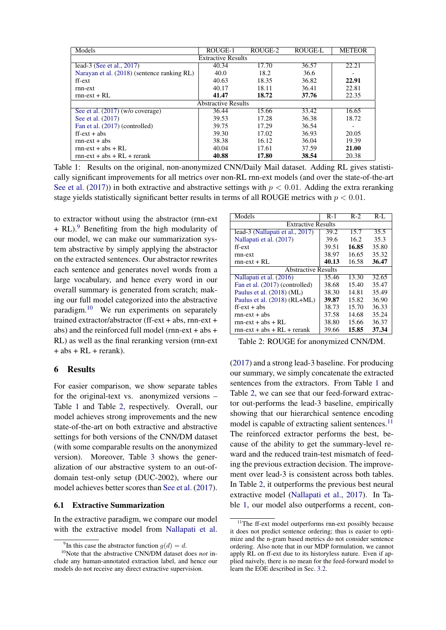| Models                                      | ROUGE-1 | ROUGE-2 | <b>ROUGE-L</b> | <b>METEOR</b> |  |
|---------------------------------------------|---------|---------|----------------|---------------|--|
| <b>Extractive Results</b>                   |         |         |                |               |  |
| lead-3 (See et al., 2017)                   | 40.34   | 17.70   | 36.57          | 22.21         |  |
| Narayan et al. (2018) (sentence ranking RL) | 40.0    | 18.2    | 36.6           |               |  |
| ff-ext                                      | 40.63   | 18.35   | 36.82          | 22.91         |  |
| rnn-ext                                     | 40.17   | 18.11   | 36.41          | 22.81         |  |
| $rm-ext + RL$                               | 41.47   | 18.72   | 37.76          | 22.35         |  |
| <b>Abstractive Results</b>                  |         |         |                |               |  |
| See et al. (2017) (w/o coverage)            | 36.44   | 15.66   | 33.42          | 16.65         |  |
| See et al. (2017)                           | 39.53   | 17.28   | 36.38          | 18.72         |  |
| Fan et al. (2017) (controlled)              | 39.75   | 17.29   | 36.54          |               |  |
| $ff - ext + abs$                            | 39.30   | 17.02   | 36.93          | 20.05         |  |
| $rm-ext + abs$                              | 38.38   | 16.12   | 36.04          | 19.39         |  |
| $rm-ext + abs + RI$ .                       | 40.04   | 17.61   | 37.59          | 21.00         |  |
| $rnn-ext + abs + RL + rerank$               | 40.88   | 17.80   | 38.54          | 20.38         |  |

<span id="page-6-2"></span>Table 1: Results on the original, non-anonymized CNN/Daily Mail dataset. Adding RL gives statistically significant improvements for all metrics over non-RL rnn-ext models (and over the state-of-the-art [See et al.](#page-11-1) [\(2017\)](#page-11-1)) in both extractive and abstractive settings with  $p < 0.01$ . Adding the extra reranking stage yields statistically significant better results in terms of all ROUGE metrics with  $p < 0.01$ .

to extractor without using the abstractor (rnn-ext  $+ RL$ ).<sup>[9](#page-6-0)</sup> Benefiting from the high modularity of our model, we can make our summarization system abstractive by simply applying the abstractor on the extracted sentences. Our abstractor rewrites each sentence and generates novel words from a large vocabulary, and hence every word in our overall summary is generated from scratch; making our full model categorized into the abstractive paradigm.[10](#page-6-1) We run experiments on separately trained extractor/abstractor (ff-ext + abs, rnn-ext + abs) and the reinforced full model (rnn-ext + abs + RL) as well as the final reranking version (rnn-ext  $+$  abs  $+$  RL  $+$  rerank).

### 6 Results

For easier comparison, we show separate tables for the original-text vs. anonymized versions – Table [1](#page-6-2) and Table [2,](#page-6-3) respectively. Overall, our model achieves strong improvements and the new state-of-the-art on both extractive and abstractive settings for both versions of the CNN/DM dataset (with some comparable results on the anonymized version). Moreover, Table [3](#page-7-1) shows the generalization of our abstractive system to an out-ofdomain test-only setup (DUC-2002), where our model achieves better scores than [See et al.](#page-11-1) [\(2017\)](#page-11-1).

#### 6.1 Extractive Summarization

In the extractive paradigm, we compare our model with the extractive model from [Nallapati et al.](#page-10-8)

| Models                          | $R-1$                      | $R-2$ | $R-I$ . |  |  |
|---------------------------------|----------------------------|-------|---------|--|--|
| <b>Extractive Results</b>       |                            |       |         |  |  |
| lead-3 (Nallapati et al., 2017) | 39.2                       | 15.7  | 35.5    |  |  |
| Nallapati et al. (2017)         | 39.6                       | 16.2  | 35.3    |  |  |
| ff-ext                          | 39.51                      | 16.85 | 35.80   |  |  |
| rnn-ext                         | 38.97                      | 16.65 | 35.32   |  |  |
| $rm-ext + RL$                   | 40.13                      | 16.58 | 36.47   |  |  |
|                                 | <b>Abstractive Results</b> |       |         |  |  |
| Nallapati et al. (2016)         | 35.46                      | 13.30 | 32.65   |  |  |
| Fan et al. (2017) (controlled)  | 38.68                      | 15.40 | 35.47   |  |  |
| Paulus et al. (2018) (ML)       | 38.30                      | 14.81 | 35.49   |  |  |
| Paulus et al. (2018) (RL+ML)    | 39.87                      | 15.82 | 36.90   |  |  |
| $\text{ff-ext} + \text{abs}$    | 38.73                      | 15.70 | 36.33   |  |  |
| $rm-ext + abs$                  | 37.58                      | 14.68 | 35.24   |  |  |
| $rm-ext + abs + RL$             | 38.80                      | 15.66 | 36.37   |  |  |
| $rnn-ext + abs + RL + rerank$   | 39.66                      | 15.85 | 37.34   |  |  |

<span id="page-6-3"></span>Table 2: ROUGE for anonymized CNN/DM.

[\(2017\)](#page-10-8) and a strong lead-3 baseline. For producing our summary, we simply concatenate the extracted sentences from the extractors. From Table [1](#page-6-2) and Table [2,](#page-6-3) we can see that our feed-forward extractor out-performs the lead-3 baseline, empirically showing that our hierarchical sentence encoding model is capable of extracting salient sentences.<sup>[11](#page-6-4)</sup> The reinforced extractor performs the best, because of the ability to get the summary-level reward and the reduced train-test mismatch of feeding the previous extraction decision. The improvement over lead-3 is consistent across both tables. In Table [2,](#page-6-3) it outperforms the previous best neural extractive model [\(Nallapati et al.,](#page-10-8) [2017\)](#page-10-8). In Table [1,](#page-6-2) our model also outperforms a recent, con-

<span id="page-6-1"></span><span id="page-6-0"></span><sup>&</sup>lt;sup>9</sup>In this case the abstractor function  $g(d) = d$ .

<sup>10</sup>Note that the abstractive CNN/DM dataset does *not* include any human-annotated extraction label, and hence our models do not receive any direct extractive supervision.

<span id="page-6-4"></span><sup>&</sup>lt;sup>11</sup>The ff-ext model outperforms rnn-ext possibly because it does not predict sentence ordering; thus is easier to optimize and the n-gram based metrics do not consider sentence ordering. Also note that in our MDP formulation, we cannot apply RL on ff-ext due to its historyless nature. Even if applied naively, there is no mean for the feed-forward model to learn the EOE described in Sec. [3.2.](#page-4-2)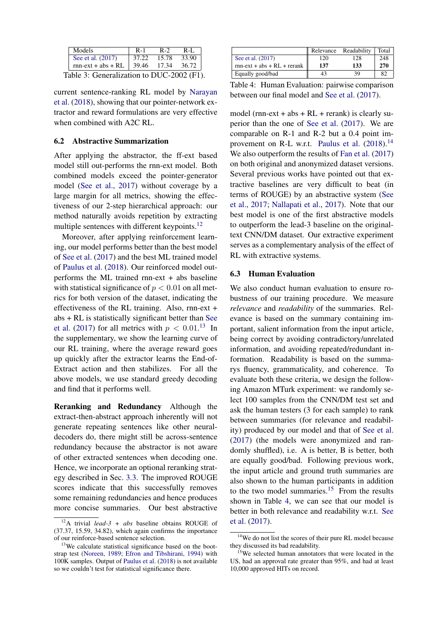<span id="page-7-1"></span>

| Models                                    | $R-1$ | R-2   | $R-I$ . |  |  |
|-------------------------------------------|-------|-------|---------|--|--|
| See et al. (2017)                         | 37.22 | 15.78 | 33.90   |  |  |
| $rnn-ext + abs + RL$                      | 39.46 | 17.34 | 36.72   |  |  |
| Table 3: Generalization to DUC-2002 (F1). |       |       |         |  |  |

current sentence-ranking RL model by [Narayan](#page-10-16) [et al.](#page-10-16) [\(2018\)](#page-10-16), showing that our pointer-network extractor and reward formulations are very effective when combined with A2C RL.

#### 6.2 Abstractive Summarization

After applying the abstractor, the ff-ext based model still out-performs the rnn-ext model. Both combined models exceed the pointer-generator model [\(See et al.,](#page-11-1) [2017\)](#page-11-1) without coverage by a large margin for all metrics, showing the effectiveness of our 2-step hierarchical approach: our method naturally avoids repetition by extracting multiple sentences with different keypoints.<sup>[12](#page-7-2)</sup>

Moreover, after applying reinforcement learning, our model performs better than the best model of [See et al.](#page-11-1) [\(2017\)](#page-11-1) and the best ML trained model of [Paulus et al.](#page-11-2) [\(2018\)](#page-11-2). Our reinforced model outperforms the ML trained rnn-ext + abs baseline with statistical significance of  $p < 0.01$  on all metrics for both version of the dataset, indicating the effectiveness of the RL training. Also, rnn-ext + abs + RL is statistically significant better than [See](#page-11-1) [et al.](#page-11-1) [\(2017\)](#page-11-1) for all metrics with  $p < 0.01$ .<sup>[13](#page-7-3)</sup> In the supplementary, we show the learning curve of our RL training, where the average reward goes up quickly after the extractor learns the End-of-Extract action and then stabilizes. For all the above models, we use standard greedy decoding and find that it performs well.

<span id="page-7-0"></span>Reranking and Redundancy Although the extract-then-abstract approach inherently will not generate repeating sentences like other neuraldecoders do, there might still be across-sentence redundancy because the abstractor is not aware of other extracted sentences when decoding one. Hence, we incorporate an optional reranking strategy described in Sec. [3.3.](#page-4-3) The improved ROUGE scores indicate that this successfully removes some remaining redundancies and hence produces more concise summaries. Our best abstractive

|                               | Relevance | Readability | Total |
|-------------------------------|-----------|-------------|-------|
| See et al. (2017)             | 120       | 128         | 248   |
| $rnn-ext + abs + RL + rerank$ | 137       | 133         | 270   |
| Equally good/bad              | 43        | 39          | 82    |

<span id="page-7-6"></span>Table 4: Human Evaluation: pairwise comparison between our final model and [See et al.](#page-11-1) [\(2017\)](#page-11-1).

model (rnn-ext + abs +  $RL$  + rerank) is clearly superior than the one of [See et al.](#page-11-1) [\(2017\)](#page-11-1). We are comparable on R-1 and R-2 but a 0.4 point im-provement on R-L w.r.t. [Paulus et al.](#page-11-2)  $(2018).<sup>14</sup>$  $(2018).<sup>14</sup>$  $(2018).<sup>14</sup>$  $(2018).<sup>14</sup>$ We also outperform the results of [Fan et al.](#page-9-20)  $(2017)$ on both original and anonymized dataset versions. Several previous works have pointed out that extractive baselines are very difficult to beat (in terms of ROUGE) by an abstractive system [\(See](#page-11-1) [et al.,](#page-11-1) [2017;](#page-11-1) [Nallapati et al.,](#page-10-8) [2017\)](#page-10-8). Note that our best model is one of the first abstractive models to outperform the lead-3 baseline on the originaltext CNN/DM dataset. Our extractive experiment serves as a complementary analysis of the effect of RL with extractive systems.

#### 6.3 Human Evaluation

We also conduct human evaluation to ensure robustness of our training procedure. We measure *relevance* and *readability* of the summaries. Relevance is based on the summary containing important, salient information from the input article, being correct by avoiding contradictory/unrelated information, and avoiding repeated/redundant information. Readability is based on the summarys fluency, grammaticality, and coherence. To evaluate both these criteria, we design the following Amazon MTurk experiment: we randomly select 100 samples from the CNN/DM test set and ask the human testers (3 for each sample) to rank between summaries (for relevance and readability) produced by our model and that of [See et al.](#page-11-1) [\(2017\)](#page-11-1) (the models were anonymized and randomly shuffled), i.e. A is better, B is better, both are equally good/bad. Following previous work, the input article and ground truth summaries are also shown to the human participants in addition to the two model summaries.<sup>[15](#page-7-5)</sup> From the results shown in Table [4,](#page-7-6) we can see that our model is better in both relevance and readability w.r.t. [See](#page-11-1) [et al.](#page-11-1) [\(2017\)](#page-11-1).

<span id="page-7-2"></span><sup>12</sup>A trivial *lead-3 + abs* baseline obtains ROUGE of (37.37, 15.59, 34.82), which again confirms the importance of our reinforce-based sentence selection.

<span id="page-7-3"></span><sup>&</sup>lt;sup>13</sup>We calculate statistical significance based on the bootstrap test [\(Noreen,](#page-10-17) [1989;](#page-10-17) [Efron and Tibshirani,](#page-9-22) [1994\)](#page-9-22) with 100K samples. Output of [Paulus et al.](#page-11-2) [\(2018\)](#page-11-2) is not available so we couldn't test for statistical significance there.

<span id="page-7-4"></span><sup>&</sup>lt;sup>14</sup>We do not list the scores of their pure RL model because they discussed its bad readability.

<span id="page-7-5"></span><sup>&</sup>lt;sup>15</sup>We selected human annotators that were located in the US, had an approval rate greater than 95%, and had at least 10,000 approved HITs on record.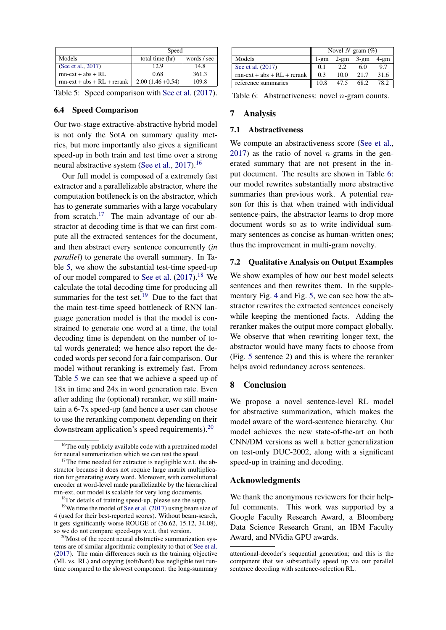|                               | Speed               |             |  |
|-------------------------------|---------------------|-------------|--|
| Models                        | total time (hr)     | words / sec |  |
| (See et al., 2017)            | 12.9                | 14.8        |  |
| $rnn-ext + abs + RI$ .        | 0.68                | 361.3       |  |
| $rnn-ext + abs + RL + rerank$ | $2.00(1.46 + 0.54)$ | 109.8       |  |

<span id="page-8-2"></span>Table 5: Speed comparison with [See et al.](#page-11-1) [\(2017\)](#page-11-1).

### 6.4 Speed Comparison

Our two-stage extractive-abstractive hybrid model is not only the SotA on summary quality metrics, but more importantly also gives a significant speed-up in both train and test time over a strong neural abstractive system [\(See et al.,](#page-11-1) [2017\)](#page-11-1).<sup>[16](#page-8-0)</sup>

Our full model is composed of a extremely fast extractor and a parallelizable abstractor, where the computation bottleneck is on the abstractor, which has to generate summaries with a large vocabulary from scratch.[17](#page-8-1) The main advantage of our abstractor at decoding time is that we can first compute all the extracted sentences for the document, and then abstract every sentence concurrently (*in parallel*) to generate the overall summary. In Table [5,](#page-8-2) we show the substantial test-time speed-up of our model compared to [See et al.](#page-11-1)  $(2017).<sup>18</sup>$  $(2017).<sup>18</sup>$  $(2017).<sup>18</sup>$  $(2017).<sup>18</sup>$  We calculate the total decoding time for producing all summaries for the test set. $19$  Due to the fact that the main test-time speed bottleneck of RNN language generation model is that the model is constrained to generate one word at a time, the total decoding time is dependent on the number of total words generated; we hence also report the decoded words per second for a fair comparison. Our model without reranking is extremely fast. From Table [5](#page-8-2) we can see that we achieve a speed up of 18x in time and 24x in word generation rate. Even after adding the (optional) reranker, we still maintain a 6-7x speed-up (and hence a user can choose to use the reranking component depending on their downstream application's speed requirements).[20](#page-8-5)

|                               | Novel N-gram $(\%)$ |         |        |        |
|-------------------------------|---------------------|---------|--------|--------|
| Models                        | $1$ -gm             | $2$ -gm | $3-gm$ | $4-gm$ |
| See et al. (2017)             | 0.1                 | 2.2     | 6.0    | 9.7    |
| $rnn-ext + abs + RL + rerank$ | 0.3                 | 10.0    | 21.7   | 31.6   |
| reference summaries           | 10.8                | 47.5    | 68.2   | 78.2   |

<span id="page-8-6"></span>Table 6: Abstractiveness: novel *n*-gram counts.

#### 7 Analysis

#### 7.1 Abstractiveness

We compute an abstractiveness score [\(See et al.,](#page-11-1) [2017\)](#page-11-1) as the ratio of novel *n*-grams in the generated summary that are not present in the input document. The results are shown in Table [6:](#page-8-6) our model rewrites substantially more abstractive summaries than previous work. A potential reason for this is that when trained with individual sentence-pairs, the abstractor learns to drop more document words so as to write individual summary sentences as concise as human-written ones; thus the improvement in multi-gram novelty.

### <span id="page-8-7"></span>7.2 Qualitative Analysis on Output Examples

We show examples of how our best model selects sentences and then rewrites them. In the supplementary Fig. [4](#page-15-0) and Fig. [5,](#page-16-0) we can see how the abstractor rewrites the extracted sentences concisely while keeping the mentioned facts. Adding the reranker makes the output more compact globally. We observe that when rewriting longer text, the abstractor would have many facts to choose from (Fig. [5](#page-16-0) sentence 2) and this is where the reranker helps avoid redundancy across sentences.

#### 8 Conclusion

We propose a novel sentence-level RL model for abstractive summarization, which makes the model aware of the word-sentence hierarchy. Our model achieves the new state-of-the-art on both CNN/DM versions as well a better generalization on test-only DUC-2002, along with a significant speed-up in training and decoding.

#### Acknowledgments

We thank the anonymous reviewers for their helpful comments. This work was supported by a Google Faculty Research Award, a Bloomberg Data Science Research Grant, an IBM Faculty Award, and NVidia GPU awards.

<span id="page-8-0"></span><sup>&</sup>lt;sup>16</sup>The only publicly available code with a pretrained model for neural summarization which we can test the speed.

<span id="page-8-1"></span> $17$ The time needed for extractor is negligible w.r.t. the abstractor because it does not require large matrix multiplication for generating every word. Moreover, with convolutional encoder at word-level made parallelizable by the hierarchical rnn-ext, our model is scalable for very long documents.

<span id="page-8-4"></span><span id="page-8-3"></span><sup>18</sup>For details of training speed-up, please see the supp.

<sup>&</sup>lt;sup>19</sup>We time the model of [See et al.](#page-11-1)  $(2017)$  using beam size of 4 (used for their best-reported scores). Without beam-search, it gets significantly worse ROUGE of (36.62, 15.12, 34.08), so we do not compare speed-ups w.r.t. that version.

<span id="page-8-5"></span><sup>&</sup>lt;sup>20</sup>Most of the recent neural abstractive summarization systems are of similar algorithmic complexity to that of [See et al.](#page-11-1) [\(2017\)](#page-11-1). The main differences such as the training objective (ML vs. RL) and copying (soft/hard) has negligible test runtime compared to the slowest component: the long-summary

attentional-decoder's sequential generation; and this is the component that we substantially speed up via our parallel sentence decoding with sentence-selection RL.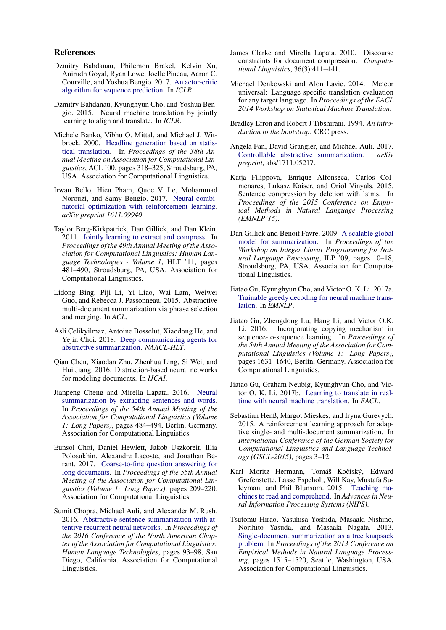#### References

- <span id="page-9-14"></span>Dzmitry Bahdanau, Philemon Brakel, Kelvin Xu, Anirudh Goyal, Ryan Lowe, Joelle Pineau, Aaron C. Courville, and Yoshua Bengio. 2017. [An actor-critic](http://arxiv.org/abs/1607.07086) [algorithm for sequence prediction.](http://arxiv.org/abs/1607.07086) In *ICLR*.
- <span id="page-9-5"></span>Dzmitry Bahdanau, Kyunghyun Cho, and Yoshua Bengio. 2015. Neural machine translation by jointly learning to align and translate. In *ICLR*.
- <span id="page-9-1"></span>Michele Banko, Vibhu O. Mittal, and Michael J. Witbrock. 2000. [Headline generation based on statis](https://doi.org/10.3115/1075218.1075259)[tical translation.](https://doi.org/10.3115/1075218.1075259) In *Proceedings of the 38th Annual Meeting on Association for Computational Linguistics*, ACL '00, pages 318–325, Stroudsburg, PA, USA. Association for Computational Linguistics.
- <span id="page-9-3"></span>Irwan Bello, Hieu Pham, Quoc V. Le, Mohammad Norouzi, and Samy Bengio. 2017. [Neural combi](https://openreview.net/pdf?id=Bk9mxlSFx)[natorial optimization with reinforcement learning.](https://openreview.net/pdf?id=Bk9mxlSFx) *arXiv preprint 1611.09940*.
- <span id="page-9-0"></span>Taylor Berg-Kirkpatrick, Dan Gillick, and Dan Klein. 2011. [Jointly learning to extract and compress.](http://dl.acm.org/citation.cfm?id=2002472.2002534) In *Proceedings of the 49th Annual Meeting of the Association for Computational Linguistics: Human Language Technologies - Volume 1*, HLT '11, pages 481–490, Stroudsburg, PA, USA. Association for Computational Linguistics.
- <span id="page-9-12"></span>Lidong Bing, Piji Li, Yi Liao, Wai Lam, Weiwei Guo, and Rebecca J. Passonneau. 2015. Abstractive multi-document summarization via phrase selection and merging. In *ACL*.
- <span id="page-9-19"></span>Asli Çelikyilmaz, Antoine Bosselut, Xiaodong He, and Yejin Choi. 2018. [Deep communicating agents for](http://arxiv.org/abs/1803.10357) [abstractive summarization.](http://arxiv.org/abs/1803.10357) *NAACL-HLT*.
- <span id="page-9-8"></span>Qian Chen, Xiaodan Zhu, Zhenhua Ling, Si Wei, and Hui Jiang. 2016. Distraction-based neural networks for modeling documents. In *IJCAI*.
- <span id="page-9-13"></span>Jianpeng Cheng and Mirella Lapata. 2016. [Neural](http://www.aclweb.org/anthology/P16-1046) [summarization by extracting sentences and words.](http://www.aclweb.org/anthology/P16-1046) In *Proceedings of the 54th Annual Meeting of the Association for Computational Linguistics (Volume 1: Long Papers)*, pages 484–494, Berlin, Germany. Association for Computational Linguistics.
- <span id="page-9-18"></span>Eunsol Choi, Daniel Hewlett, Jakob Uszkoreit, Illia Polosukhin, Alexandre Lacoste, and Jonathan Berant. 2017. [Coarse-to-fine question answering for](https://doi.org/10.18653/v1/P17-1020) [long documents.](https://doi.org/10.18653/v1/P17-1020) In *Proceedings of the 55th Annual Meeting of the Association for Computational Linguistics (Volume 1: Long Papers)*, pages 209–220. Association for Computational Linguistics.
- <span id="page-9-2"></span>Sumit Chopra, Michael Auli, and Alexander M. Rush. 2016. [Abstractive sentence summarization with at](http://www.aclweb.org/anthology/N16-1012)[tentive recurrent neural networks.](http://www.aclweb.org/anthology/N16-1012) In *Proceedings of the 2016 Conference of the North American Chapter of the Association for Computational Linguistics: Human Language Technologies*, pages 93–98, San Diego, California. Association for Computational Linguistics.
- <span id="page-9-6"></span>James Clarke and Mirella Lapata. 2010. Discourse constraints for document compression. *Computational Linguistics*, 36(3):411–441.
- <span id="page-9-4"></span>Michael Denkowski and Alon Lavie. 2014. Meteor universal: Language specific translation evaluation for any target language. In *Proceedings of the EACL 2014 Workshop on Statistical Machine Translation*.
- <span id="page-9-22"></span>Bradley Efron and Robert J Tibshirani. 1994. *An introduction to the bootstrap*. CRC press.
- <span id="page-9-20"></span>Angela Fan, David Grangier, and Michael Auli. 2017. [Controllable abstractive summarization.](http://arxiv.org/abs/1711.05217) *arXiv preprint*, abs/1711.05217.
- <span id="page-9-7"></span>Katja Filippova, Enrique Alfonseca, Carlos Colmenares, Lukasz Kaiser, and Oriol Vinyals. 2015. Sentence compression by deletion with lstms. In *Proceedings of the 2015 Conference on Empirical Methods in Natural Language Processing (EMNLP'15)*.
- <span id="page-9-10"></span>Dan Gillick and Benoit Favre. 2009. [A scalable global](http://dl.acm.org/citation.cfm?id=1611638.1611640) [model for summarization.](http://dl.acm.org/citation.cfm?id=1611638.1611640) In *Proceedings of the Workshop on Integer Linear Programming for Natural Langauge Processing*, ILP '09, pages 10–18, Stroudsburg, PA, USA. Association for Computational Linguistics.
- <span id="page-9-16"></span>Jiatao Gu, Kyunghyun Cho, and Victor O. K. Li. 2017a. [Trainable greedy decoding for neural machine trans](http://arxiv.org/abs/1702.02429)[lation.](http://arxiv.org/abs/1702.02429) In *EMNLP*.
- <span id="page-9-9"></span>Jiatao Gu, Zhengdong Lu, Hang Li, and Victor O.K. Li. 2016. Incorporating copying mechanism in sequence-to-sequence learning. In *Proceedings of the 54th Annual Meeting of the Association for Computational Linguistics (Volume 1: Long Papers)*, pages 1631–1640, Berlin, Germany. Association for Computational Linguistics.
- <span id="page-9-17"></span>Jiatao Gu, Graham Neubig, Kyunghyun Cho, and Victor O. K. Li. 2017b. [Learning to translate in real](http://arxiv.org/abs/1610.00388)[time with neural machine translation.](http://arxiv.org/abs/1610.00388) In *EACL*.
- <span id="page-9-15"></span>Sebastian Henß, Margot Mieskes, and Iryna Gurevych. 2015. A reinforcement learning approach for adaptive single- and multi-document summarization. In *International Conference of the German Society for Computational Linguistics and Language Technology (GSCL-2015)*, pages 3–12.
- <span id="page-9-21"></span>Karl Moritz Hermann, Tomáš Kočiský, Edward Grefenstette, Lasse Espeholt, Will Kay, Mustafa Suleyman, and Phil Blunsom. 2015. [Teaching ma](http://arxiv.org/abs/1506.03340)[chines to read and comprehend.](http://arxiv.org/abs/1506.03340) In *Advances in Neural Information Processing Systems (NIPS)*.
- <span id="page-9-11"></span>Tsutomu Hirao, Yasuhisa Yoshida, Masaaki Nishino, Norihito Yasuda, and Masaaki Nagata. 2013. [Single-document summarization as a tree knapsack](http://www.aclweb.org/anthology/D13-1158) [problem.](http://www.aclweb.org/anthology/D13-1158) In *Proceedings of the 2013 Conference on Empirical Methods in Natural Language Processing*, pages 1515–1520, Seattle, Washington, USA. Association for Computational Linguistics.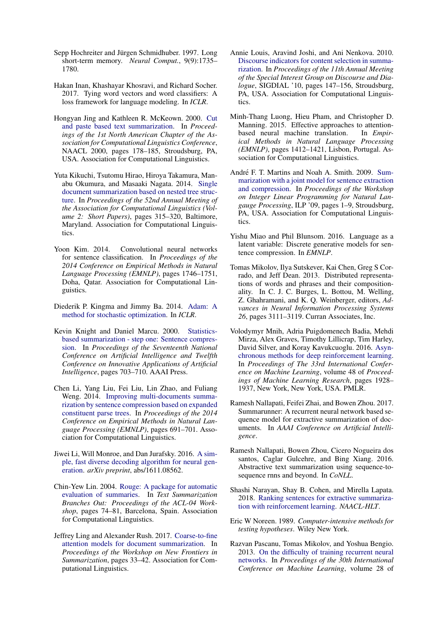- <span id="page-10-6"></span>Sepp Hochreiter and Jürgen Schmidhuber. 1997. Long short-term memory. *Neural Comput.*, 9(9):1735– 1780.
- <span id="page-10-18"></span>Hakan Inan, Khashayar Khosravi, and Richard Socher. 2017. Tying word vectors and word classifiers: A loss framework for language modeling. In *ICLR*.
- <span id="page-10-0"></span>Hongyan Jing and Kathleen R. McKeown. 2000. [Cut](http://dl.acm.org/citation.cfm?id=974305.974329) [and paste based text summarization.](http://dl.acm.org/citation.cfm?id=974305.974329) In *Proceedings of the 1st North American Chapter of the Association for Computational Linguistics Conference*, NAACL 2000, pages 178–185, Stroudsburg, PA, USA. Association for Computational Linguistics.
- <span id="page-10-13"></span>Yuta Kikuchi, Tsutomu Hirao, Hiroya Takamura, Manabu Okumura, and Masaaki Nagata. 2014. [Single](http://www.aclweb.org/anthology/P14-2052) [document summarization based on nested tree struc](http://www.aclweb.org/anthology/P14-2052)[ture.](http://www.aclweb.org/anthology/P14-2052) In *Proceedings of the 52nd Annual Meeting of the Association for Computational Linguistics (Volume 2: Short Papers)*, pages 315–320, Baltimore, Maryland. Association for Computational Linguistics.
- <span id="page-10-5"></span>Yoon Kim. 2014. Convolutional neural networks for sentence classification. In *Proceedings of the 2014 Conference on Empirical Methods in Natural Language Processing (EMNLP)*, pages 1746–1751, Doha, Qatar. Association for Computational Linguistics.
- <span id="page-10-19"></span>Diederik P. Kingma and Jimmy Ba. 2014. [Adam: A](http://arxiv.org/abs/1412.6980) [method for stochastic optimization.](http://arxiv.org/abs/1412.6980) In *ICLR*.
- <span id="page-10-1"></span>Kevin Knight and Daniel Marcu. 2000. [Statistics](http://dl.acm.org/citation.cfm?id=647288.721086)[based summarization - step one: Sentence compres](http://dl.acm.org/citation.cfm?id=647288.721086)[sion.](http://dl.acm.org/citation.cfm?id=647288.721086) In *Proceedings of the Seventeenth National Conference on Artificial Intelligence and Twelfth Conference on Innovative Applications of Artificial Intelligence*, pages 703–710. AAAI Press.
- <span id="page-10-14"></span>Chen Li, Yang Liu, Fei Liu, Lin Zhao, and Fuliang Weng. 2014. [Improving multi-documents summa](https://doi.org/10.3115/v1/D14-1076)[rization by sentence compression based on expanded](https://doi.org/10.3115/v1/D14-1076) [constituent parse trees.](https://doi.org/10.3115/v1/D14-1076) In *Proceedings of the 2014 Conference on Empirical Methods in Natural Language Processing (EMNLP)*, pages 691–701. Association for Computational Linguistics.
- <span id="page-10-10"></span>Jiwei Li, Will Monroe, and Dan Jurafsky. 2016. [A sim](http://arxiv.org/abs/1611.08562)[ple, fast diverse decoding algorithm for neural gen](http://arxiv.org/abs/1611.08562)[eration.](http://arxiv.org/abs/1611.08562) *arXiv preprint*, abs/1611.08562.
- <span id="page-10-4"></span>Chin-Yew Lin. 2004. [Rouge: A package for automatic](http://www.aclweb.org/anthology/W04-1013) [evaluation of summaries.](http://www.aclweb.org/anthology/W04-1013) In *Text Summarization Branches Out: Proceedings of the ACL-04 Workshop*, pages 74–81, Barcelona, Spain. Association for Computational Linguistics.
- <span id="page-10-15"></span>Jeffrey Ling and Alexander Rush. 2017. [Coarse-to-fine](http://aclweb.org/anthology/W17-4505) [attention models for document summarization.](http://aclweb.org/anthology/W17-4505) In *Proceedings of the Workshop on New Frontiers in Summarization*, pages 33–42. Association for Computational Linguistics.
- <span id="page-10-12"></span>Annie Louis, Aravind Joshi, and Ani Nenkova. 2010. [Discourse indicators for content selection in summa](http://dl.acm.org/citation.cfm?id=1944506.1944533)[rization.](http://dl.acm.org/citation.cfm?id=1944506.1944533) In *Proceedings of the 11th Annual Meeting of the Special Interest Group on Discourse and Dialogue*, SIGDIAL '10, pages 147–156, Stroudsburg, PA, USA. Association for Computational Linguistics.
- <span id="page-10-7"></span>Minh-Thang Luong, Hieu Pham, and Christopher D. Manning. 2015. Effective approaches to attentionbased neural machine translation. In *Empirical Methods in Natural Language Processing (EMNLP)*, pages 1412–1421, Lisbon, Portugal. Association for Computational Linguistics.
- <span id="page-10-2"></span>André F. T. Martins and Noah A. Smith. 2009. [Sum](http://dl.acm.org/citation.cfm?id=1611638.1611639)[marization with a joint model for sentence extraction](http://dl.acm.org/citation.cfm?id=1611638.1611639) [and compression.](http://dl.acm.org/citation.cfm?id=1611638.1611639) In *Proceedings of the Workshop on Integer Linear Programming for Natural Langauge Processing*, ILP '09, pages 1–9, Stroudsburg, PA, USA. Association for Computational Linguistics.
- <span id="page-10-11"></span>Yishu Miao and Phil Blunsom. 2016. Language as a latent variable: Discrete generative models for sentence compression. In *EMNLP*.
- <span id="page-10-21"></span>Tomas Mikolov, Ilya Sutskever, Kai Chen, Greg S Corrado, and Jeff Dean. 2013. Distributed representations of words and phrases and their compositionality. In C. J. C. Burges, L. Bottou, M. Welling, Z. Ghahramani, and K. Q. Weinberger, editors, *Advances in Neural Information Processing Systems 26*, pages 3111–3119. Curran Associates, Inc.
- <span id="page-10-9"></span>Volodymyr Mnih, Adria Puigdomenech Badia, Mehdi Mirza, Alex Graves, Timothy Lillicrap, Tim Harley, David Silver, and Koray Kavukcuoglu. 2016. [Asyn](http://proceedings.mlr.press/v48/mniha16.html)[chronous methods for deep reinforcement learning.](http://proceedings.mlr.press/v48/mniha16.html) In *Proceedings of The 33rd International Conference on Machine Learning*, volume 48 of *Proceedings of Machine Learning Research*, pages 1928– 1937, New York, New York, USA. PMLR.
- <span id="page-10-8"></span>Ramesh Nallapati, Feifei Zhai, and Bowen Zhou. 2017. Summarunner: A recurrent neural network based sequence model for extractive summarization of documents. In *AAAI Conference on Artificial Intelligence*.
- <span id="page-10-3"></span>Ramesh Nallapati, Bowen Zhou, Cicero Nogueira dos santos, Caglar Gulcehre, and Bing Xiang. 2016. Abstractive text summarization using sequence-tosequence rnns and beyond. In *CoNLL*.
- <span id="page-10-16"></span>Shashi Narayan, Shay B. Cohen, and Mirella Lapata. 2018. [Ranking sentences for extractive summariza](http://arxiv.org/abs/1802.08636)[tion with reinforcement learning.](http://arxiv.org/abs/1802.08636) *NAACL-HLT*.
- <span id="page-10-17"></span>Eric W Noreen. 1989. *Computer-intensive methods for testing hypotheses*. Wiley New York.
- <span id="page-10-20"></span>Razvan Pascanu, Tomas Mikolov, and Yoshua Bengio. 2013. [On the difficulty of training recurrent neural](http://proceedings.mlr.press/v28/pascanu13.html) [networks.](http://proceedings.mlr.press/v28/pascanu13.html) In *Proceedings of the 30th International Conference on Machine Learning*, volume 28 of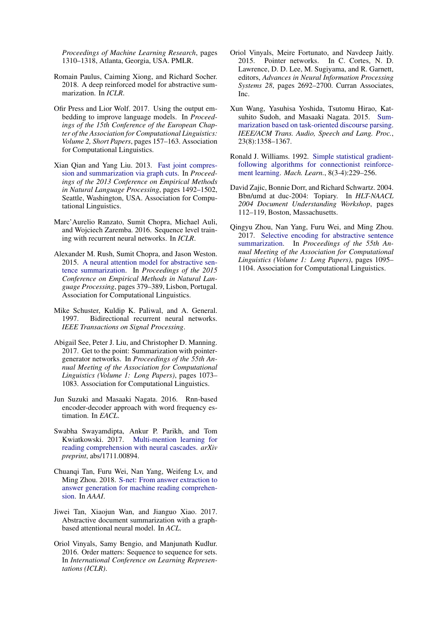*Proceedings of Machine Learning Research*, pages 1310–1318, Atlanta, Georgia, USA. PMLR.

- <span id="page-11-2"></span>Romain Paulus, Caiming Xiong, and Richard Socher. 2018. A deep reinforced model for abstractive summarization. In *ICLR*.
- <span id="page-11-16"></span>Ofir Press and Lior Wolf. 2017. Using the output embedding to improve language models. In *Proceedings of the 15th Conference of the European Chapter of the Association for Computational Linguistics: Volume 2, Short Papers*, pages 157–163. Association for Computational Linguistics.
- <span id="page-11-11"></span>Xian Qian and Yang Liu. 2013. [Fast joint compres](http://www.aclweb.org/anthology/D13-1156)[sion and summarization via graph cuts.](http://www.aclweb.org/anthology/D13-1156) In *Proceedings of the 2013 Conference on Empirical Methods in Natural Language Processing*, pages 1492–1502, Seattle, Washington, USA. Association for Computational Linguistics.
- <span id="page-11-12"></span>Marc'Aurelio Ranzato, Sumit Chopra, Michael Auli, and Wojciech Zaremba. 2016. Sequence level training with recurrent neural networks. In *ICLR*.
- <span id="page-11-7"></span>Alexander M. Rush, Sumit Chopra, and Jason Weston. 2015. [A neural attention model for abstractive sen](http://aclweb.org/anthology/D15-1044)[tence summarization.](http://aclweb.org/anthology/D15-1044) In *Proceedings of the 2015 Conference on Empirical Methods in Natural Language Processing*, pages 379–389, Lisbon, Portugal. Association for Computational Linguistics.
- <span id="page-11-3"></span>Mike Schuster, Kuldip K. Paliwal, and A. General. 1997. Bidirectional recurrent neural networks. *IEEE Transactions on Signal Processing*.
- <span id="page-11-1"></span>Abigail See, Peter J. Liu, and Christopher D. Manning. 2017. Get to the point: Summarization with pointergenerator networks. In *Proceedings of the 55th Annual Meeting of the Association for Computational Linguistics (Volume 1: Long Papers)*, pages 1073– 1083. Association for Computational Linguistics.
- <span id="page-11-8"></span>Jun Suzuki and Masaaki Nagata. 2016. Rnn-based encoder-decoder approach with word frequency estimation. In *EACL*.
- <span id="page-11-15"></span>Swabha Swayamdipta, Ankur P. Parikh, and Tom Kwiatkowski. 2017. [Multi-mention learning for](http://arxiv.org/abs/1711.00894) [reading comprehension with neural cascades.](http://arxiv.org/abs/1711.00894) *arXiv preprint*, abs/1711.00894.
- <span id="page-11-14"></span>Chuanqi Tan, Furu Wei, Nan Yang, Weifeng Lv, and Ming Zhou. 2018. [S-net: From answer extraction to](http://arxiv.org/abs/1706.04815) [answer generation for machine reading comprehen](http://arxiv.org/abs/1706.04815)[sion.](http://arxiv.org/abs/1706.04815) In *AAAI*.
- <span id="page-11-9"></span>Jiwei Tan, Xiaojun Wan, and Jianguo Xiao. 2017. Abstractive document summarization with a graphbased attentional neural model. In *ACL*.
- <span id="page-11-5"></span>Oriol Vinyals, Samy Bengio, and Manjunath Kudlur. 2016. Order matters: Sequence to sequence for sets. In *International Conference on Learning Representations (ICLR)*.
- <span id="page-11-4"></span>Oriol Vinyals, Meire Fortunato, and Navdeep Jaitly. 2015. Pointer networks. In C. Cortes, N. D. Lawrence, D. D. Lee, M. Sugiyama, and R. Garnett, editors, *Advances in Neural Information Processing Systems 28*, pages 2692–2700. Curran Associates, Inc.
- <span id="page-11-10"></span>Xun Wang, Yasuhisa Yoshida, Tsutomu Hirao, Katsuhito Sudoh, and Masaaki Nagata. 2015. [Sum](https://doi.org/10.1109/TASLP.2015.2432573)[marization based on task-oriented discourse parsing.](https://doi.org/10.1109/TASLP.2015.2432573) *IEEE/ACM Trans. Audio, Speech and Lang. Proc.*, 23(8):1358–1367.
- <span id="page-11-6"></span>Ronald J. Williams. 1992. [Simple statistical gradient](https://doi.org/10.1007/BF00992696)[following algorithms for connectionist reinforce](https://doi.org/10.1007/BF00992696)[ment learning.](https://doi.org/10.1007/BF00992696) *Mach. Learn.*, 8(3-4):229–256.
- <span id="page-11-0"></span>David Zajic, Bonnie Dorr, and Richard Schwartz. 2004. Bbn/umd at duc-2004: Topiary. In *HLT-NAACL 2004 Document Understanding Workshop*, pages 112–119, Boston, Massachusetts.
- <span id="page-11-13"></span>Qingyu Zhou, Nan Yang, Furu Wei, and Ming Zhou. 2017. [Selective encoding for abstractive sentence](https://doi.org/10.18653/v1/P17-1101) [summarization.](https://doi.org/10.18653/v1/P17-1101) In *Proceedings of the 55th Annual Meeting of the Association for Computational Linguistics (Volume 1: Long Papers)*, pages 1095– 1104. Association for Computational Linguistics.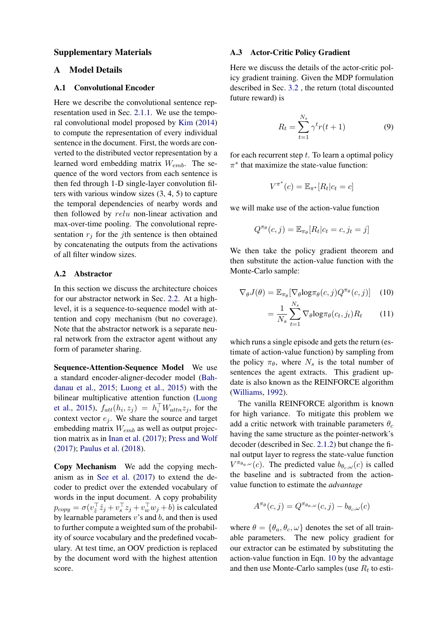#### Supplementary Materials

# A Model Details

#### A.1 Convolutional Encoder

Here we describe the convolutional sentence representation used in Sec. [2.1.1.](#page-2-6) We use the temporal convolutional model proposed by [Kim](#page-10-5) [\(2014\)](#page-10-5) to compute the representation of every individual sentence in the document. First, the words are converted to the distributed vector representation by a learned word embedding matrix  $W_{emb}$ . The sequence of the word vectors from each sentence is then fed through 1-D single-layer convolution filters with various window sizes (3, 4, 5) to capture the temporal dependencies of nearby words and then followed by relu non-linear activation and max-over-time pooling. The convolutional representation  $r_j$  for the *j*th sentence is then obtained by concatenating the outputs from the activations of all filter window sizes.

#### A.2 Abstractor

In this section we discuss the architecture choices for our abstractor network in Sec. [2.2.](#page-2-7) At a highlevel, it is a sequence-to-sequence model with attention and copy mechanism (but no coverage). Note that the abstractor network is a separate neural network from the extractor agent without any form of parameter sharing.

Sequence-Attention-Sequence Model We use a standard encoder-aligner-decoder model [\(Bah](#page-9-5)[danau et al.,](#page-9-5) [2015;](#page-9-5) [Luong et al.,](#page-10-7) [2015\)](#page-10-7) with the bilinear multiplicative attention function [\(Luong](#page-10-7) [et al.,](#page-10-7) [2015\)](#page-10-7),  $f_{att}(h_i, z_j) = h_i^{\top} W_{attn} z_j$ , for the context vector  $e_j$ . We share the source and target embedding matrix  $W_{emb}$  as well as output projection matrix as in [Inan et al.](#page-10-18) [\(2017\)](#page-10-18); [Press and Wolf](#page-11-16) [\(2017\)](#page-11-16); [Paulus et al.](#page-11-2) [\(2018\)](#page-11-2).

Copy Mechanism We add the copying mechanism as in [See et al.](#page-11-1) [\(2017\)](#page-11-1) to extend the decoder to predict over the extended vocabulary of words in the input document. A copy probability  $p_{copy} = \sigma(v_z^{\top} \hat{z}_j + v_s^{\top} z_j + v_w^{\top} w_j + b)$  is calculated by learnable parameters  $v$ 's and  $b$ , and then is used to further compute a weighted sum of the probability of source vocabulary and the predefined vocabulary. At test time, an OOV prediction is replaced by the document word with the highest attention score.

#### A.3 Actor-Critic Policy Gradient

Here we discuss the details of the actor-critic policy gradient training. Given the MDP formulation described in Sec. [3.2](#page-3-6) , the return (total discounted future reward) is

<span id="page-12-1"></span>
$$
R_t = \sum_{t=1}^{N_s} \gamma^t r(t+1)
$$
 (9)

for each recurrent step  $t$ . To learn a optimal policy  $\pi^*$  that maximize the state-value function:

$$
V^{\pi^*}(c) = \mathbb{E}_{\pi^*}[R_t|c_t = c]
$$

we will make use of the action-value function

<span id="page-12-0"></span>
$$
Q^{\pi_{\theta}}(c,j) = \mathbb{E}_{\pi_{\theta}}[R_t|c_t = c, j_t = j]
$$

We then take the policy gradient theorem and then substitute the action-value function with the Monte-Carlo sample:

$$
\nabla_{\theta} J(\theta) = \mathbb{E}_{\pi_{\theta}} [\nabla_{\theta} \log \pi_{\theta}(c, j) Q^{\pi_{\theta}}(c, j)] \quad (10)
$$

$$
= \frac{1}{N_s} \sum_{t=1}^{N_s} \nabla_{\theta} \log \pi_{\theta}(c_t, j_t) R_t \quad (11)
$$

which runs a single episode and gets the return (estimate of action-value function) by sampling from the policy  $\pi_{\theta}$ , where  $N_s$  is the total number of sentences the agent extracts. This gradient update is also known as the REINFORCE algorithm [\(Williams,](#page-11-6) [1992\)](#page-11-6).

The vanilla REINFORCE algorithm is known for high variance. To mitigate this problem we add a critic network with trainable parameters  $\theta_c$ having the same structure as the pointer-network's decoder (described in Sec. [2.1.2\)](#page-2-3) but change the final output layer to regress the state-value function  $V^{\pi_{\theta_a,\omega}}(c)$ . The predicted value  $b_{\theta_c,\omega}(c)$  is called the baseline and is subtracted from the actionvalue function to estimate the *advantage*

$$
A^{\pi_{\theta}}(c,j) = Q^{\pi_{\theta_{a},\omega}}(c,j) - b_{\theta_{c},\omega}(c)
$$

where  $\theta = {\theta_a, \theta_c, \omega}$  denotes the set of all trainable parameters. The new policy gradient for our extractor can be estimated by substituting the action-value function in Eqn. [10](#page-12-0) by the advantage and then use Monte-Carlo samples (use  $R_t$  to esti-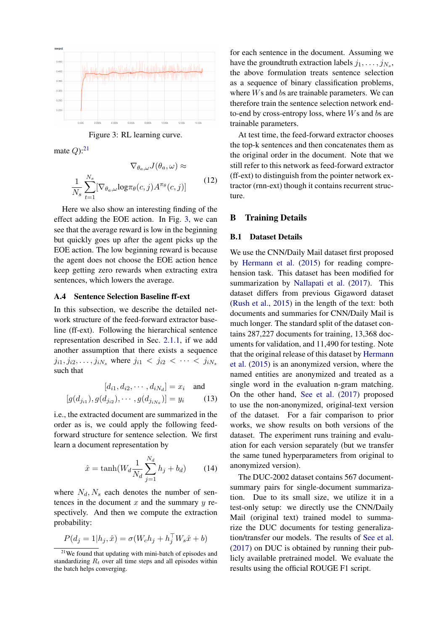

<span id="page-13-1"></span>Figure 3: RL learning curve.

mate  $Q$ ):<sup>[21](#page-13-0)</sup>

$$
\nabla_{\theta_a,\omega} J(\theta_a,\omega) \approx
$$
  

$$
\frac{1}{N_s} \sum_{t=1}^{N_s} [\nabla_{\theta_a,\omega} \log \pi_{\theta}(c,j) A^{\pi_{\theta}}(c,j)]
$$
(12)

Here we also show an interesting finding of the effect adding the EOE action. In Fig. [3,](#page-13-1) we can see that the average reward is low in the beginning but quickly goes up after the agent picks up the EOE action. The low beginning reward is because the agent does not choose the EOE action hence keep getting zero rewards when extracting extra sentences, which lowers the average.

### A.4 Sentence Selection Baseline ff-ext

In this subsection, we describe the detailed network structure of the feed-forward extractor baseline (ff-ext). Following the hierarchical sentence representation described in Sec. [2.1.1,](#page-2-6) if we add another assumption that there exists a sequence  $j_{i1}, j_{i2}, \ldots, j_{iN_s}$  where  $j_{i1} < j_{i2} < \cdots < j_{iN_s}$ such that

$$
[d_{i1}, d_{i2}, \cdots, d_{iN_d}] = x_i \text{ and}
$$

$$
[g(d_{j_{i1}}), g(d_{j_{i2}}), \cdots, g(d_{j_{iN_s}})] = y_i \qquad (13)
$$

i.e., the extracted document are summarized in the order as is, we could apply the following feedforward structure for sentence selection. We first learn a document representation by

$$
\hat{x} = \tanh(W_d \frac{1}{N_d} \sum_{j=1}^{N_d} h_j + b_d)
$$
 (14)

where  $N_d$ ,  $N_s$  each denotes the number of sentences in the document  $x$  and the summary  $y$  respectively. And then we compute the extraction probability:

$$
P(d_j = 1 | h_j, \hat{x}) = \sigma(W_c h_j + h_j^{\top} W_s \hat{x} + b)
$$

for each sentence in the document. Assuming we have the groundtruth extraction labels  $j_1, \ldots, j_{N_s}$ , the above formulation treats sentence selection as a sequence of binary classification problems, where Ws and bs are trainable parameters. We can therefore train the sentence selection network endto-end by cross-entropy loss, where  $Ws$  and bs are trainable parameters.

At test time, the feed-forward extractor chooses the top-k sentences and then concatenates them as the original order in the document. Note that we still refer to this network as feed-forward extractor (ff-ext) to distinguish from the pointer network extractor (rnn-ext) though it contains recurrent structure.

### B Training Details

#### B.1 Dataset Details

We use the CNN/Daily Mail dataset first proposed by [Hermann et al.](#page-9-21) [\(2015\)](#page-9-21) for reading comprehension task. This dataset has been modified for summarization by [Nallapati et al.](#page-10-8) [\(2017\)](#page-10-8). This dataset differs from previous Gigaword dataset [\(Rush et al.,](#page-11-7) [2015\)](#page-11-7) in the length of the text: both documents and summaries for CNN/Daily Mail is much longer. The standard split of the dataset contains 287,227 documents for training, 13,368 documents for validation, and 11,490 for testing. Note that the original release of this dataset by [Hermann](#page-9-21) [et al.](#page-9-21) [\(2015\)](#page-9-21) is an anonymized version, where the named entities are anonymized and treated as a single word in the evaluation n-gram matching. On the other hand, [See et al.](#page-11-1) [\(2017\)](#page-11-1) proposed to use the non-anonymized, original-text version of the dataset. For a fair comparison to prior works, we show results on both versions of the dataset. The experiment runs training and evaluation for each version separately (but we transfer the same tuned hyperparameters from original to anonymized version).

The DUC-2002 dataset contains 567 documentsummary pairs for single-document summarization. Due to its small size, we utilize it in a test-only setup: we directly use the CNN/Daily Mail (original text) trained model to summarize the DUC documents for testing generalization/transfer our models. The results of [See et al.](#page-11-1) [\(2017\)](#page-11-1) on DUC is obtained by running their publicly available pretrained model. We evaluate the results using the official ROUGE F1 script.

<span id="page-13-0"></span><sup>&</sup>lt;sup>21</sup>We found that updating with mini-batch of episodes and standardizing  $R_t$  over all time steps and all episodes within the batch helps converging.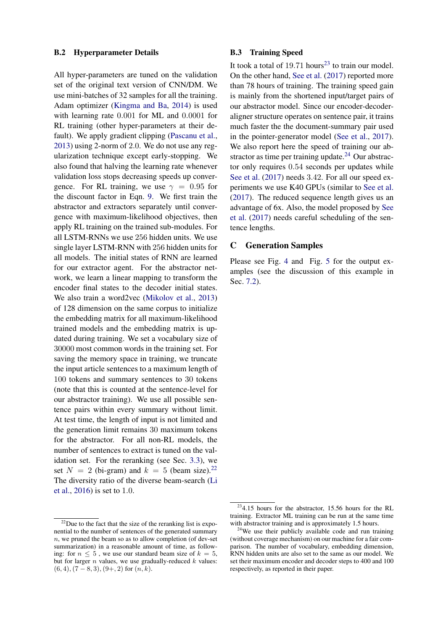#### B.2 Hyperparameter Details

All hyper-parameters are tuned on the validation set of the original text version of CNN/DM. We use mini-batches of 32 samples for all the training. Adam optimizer [\(Kingma and Ba,](#page-10-19) [2014\)](#page-10-19) is used with learning rate 0.001 for ML and 0.0001 for RL training (other hyper-parameters at their default). We apply gradient clipping [\(Pascanu et al.,](#page-10-20) [2013\)](#page-10-20) using 2-norm of 2.0. We do not use any regularization technique except early-stopping. We also found that halving the learning rate whenever validation loss stops decreasing speeds up convergence. For RL training, we use  $\gamma = 0.95$  for the discount factor in Eqn. [9.](#page-12-1) We first train the abstractor and extractors separately until convergence with maximum-likelihood objectives, then apply RL training on the trained sub-modules. For all LSTM-RNNs we use 256 hidden units. We use single layer LSTM-RNN with 256 hidden units for all models. The initial states of RNN are learned for our extractor agent. For the abstractor network, we learn a linear mapping to transform the encoder final states to the decoder initial states. We also train a word2vec [\(Mikolov et al.,](#page-10-21) [2013\)](#page-10-21) of 128 dimension on the same corpus to initialize the embedding matrix for all maximum-likelihood trained models and the embedding matrix is updated during training. We set a vocabulary size of 30000 most common words in the training set. For saving the memory space in training, we truncate the input article sentences to a maximum length of 100 tokens and summary sentences to 30 tokens (note that this is counted at the sentence-level for our abstractor training). We use all possible sentence pairs within every summary without limit. At test time, the length of input is not limited and the generation limit remains 30 maximum tokens for the abstractor. For all non-RL models, the number of sentences to extract is tuned on the validation set. For the reranking (see Sec. [3.3\)](#page-4-3), we set  $N = 2$  (bi-gram) and  $k = 5$  (beam size).<sup>[22](#page-14-0)</sup> The diversity ratio of the diverse beam-search [\(Li](#page-10-10) [et al.,](#page-10-10) [2016\)](#page-10-10) is set to 1.0.

#### B.3 Training Speed

It took a total of  $19.71$  hours<sup>[23](#page-14-1)</sup> to train our model. On the other hand, [See et al.](#page-11-1) [\(2017\)](#page-11-1) reported more than 78 hours of training. The training speed gain is mainly from the shortened input/target pairs of our abstractor model. Since our encoder-decoderaligner structure operates on sentence pair, it trains much faster the the document-summary pair used in the pointer-generator model [\(See et al.,](#page-11-1) [2017\)](#page-11-1). We also report here the speed of training our abstractor as time per training update. $24$  Our abstractor only requires 0.54 seconds per updates while [See et al.](#page-11-1)  $(2017)$  needs 3.42. For all our speed experiments we use K40 GPUs (similar to [See et al.](#page-11-1) [\(2017\)](#page-11-1). The reduced sequence length gives us an advantage of 6x. Also, the model proposed by [See](#page-11-1) [et al.](#page-11-1) [\(2017\)](#page-11-1) needs careful scheduling of the sentence lengths.

#### C Generation Samples

Please see Fig. [4](#page-15-0) and Fig. [5](#page-16-0) for the output examples (see the discussion of this example in Sec. [7.2\)](#page-8-7).

<span id="page-14-0"></span> $22$ Due to the fact that the size of the reranking list is exponential to the number of sentences of the generated summary n, we pruned the beam so as to allow completion (of dev-set summarization) in a reasonable amount of time, as following: for  $n \leq 5$ , we use our standard beam size of  $k = 5$ , but for larger  $n$  values, we use gradually-reduced  $k$  values:  $(6, 4), (7 - 8, 3), (9 +, 2)$  for  $(n, k)$ .

<span id="page-14-1"></span> $234.15$  hours for the abstractor, 15.56 hours for the RL training. Extractor ML training can be run at the same time with abstractor training and is approximately 1.5 hours.

<span id="page-14-2"></span> $24$ We use their publicly available code and run training (without coverage mechanism) on our machine for a fair comparison. The number of vocabulary, embedding dimension, RNN hidden units are also set to the same as our model. We set their maximum encoder and decoder steps to 400 and 100 respectively, as reported in their paper.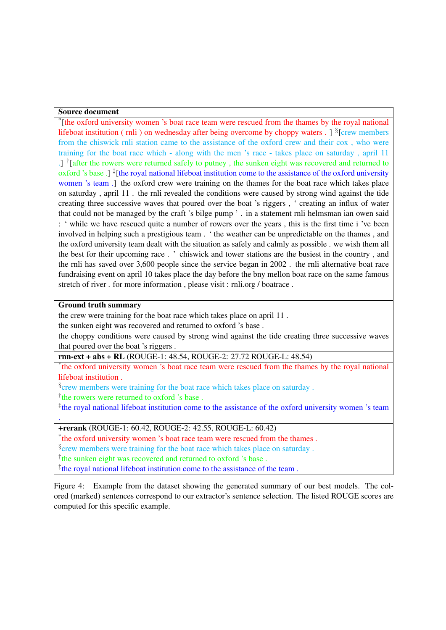# Source document

\* [the oxford university women 's boat race team were rescued from the thames by the royal national lifeboat institution (rnli) on wednesday after being overcome by choppy waters . ] <sup>§</sup>[crew members from the chiswick rnli station came to the assistance of the oxford crew and their cox , who were training for the boat race which - along with the men 's race - takes place on saturday , april 11 .] <sup>†</sup>[after the rowers were returned safely to putney, the sunken eight was recovered and returned to oxford 's base .] <sup>‡</sup>[the royal national lifeboat institution come to the assistance of the oxford university women 's team .] the oxford crew were training on the thames for the boat race which takes place on saturday , april 11 . the rnli revealed the conditions were caused by strong wind against the tide creating three successive waves that poured over the boat 's riggers , ' creating an influx of water that could not be managed by the craft 's bilge pump ' . in a statement rnli helmsman ian owen said : ' while we have rescued quite a number of rowers over the years , this is the first time i 've been involved in helping such a prestigious team . ' the weather can be unpredictable on the thames , and the oxford university team dealt with the situation as safely and calmly as possible . we wish them all the best for their upcoming race . ' chiswick and tower stations are the busiest in the country , and the rnli has saved over 3,600 people since the service began in 2002 . the rnli alternative boat race fundraising event on april 10 takes place the day before the bny mellon boat race on the same famous stretch of river . for more information , please visit : rnli.org / boatrace .

### Ground truth summary

.

the crew were training for the boat race which takes place on april 11 .

the sunken eight was recovered and returned to oxford 's base .

the choppy conditions were caused by strong wind against the tide creating three successive waves that poured over the boat 's riggers .

rnn-ext + abs + RL (ROUGE-1: 48.54, ROUGE-2: 27.72 ROUGE-L: 48.54)

\* the oxford university women 's boat race team were rescued from the thames by the royal national lifeboat institution .

<sup>§</sup>crew members were training for the boat race which takes place on saturday.

<sup>†</sup>the rowers were returned to oxford 's base.

<sup>‡</sup>the royal national lifeboat institution come to the assistance of the oxford university women 's team

+rerank (ROUGE-1: 60.42, ROUGE-2: 42.55, ROUGE-L: 60.42)

\* the oxford university women 's boat race team were rescued from the thames .

<sup>§</sup>crew members were training for the boat race which takes place on saturday.

<sup>†</sup>the sunken eight was recovered and returned to oxford 's base.

<span id="page-15-0"></span>‡ the royal national lifeboat institution come to the assistance of the team .

Figure 4: Example from the dataset showing the generated summary of our best models. The colored (marked) sentences correspond to our extractor's sentence selection. The listed ROUGE scores are computed for this specific example.